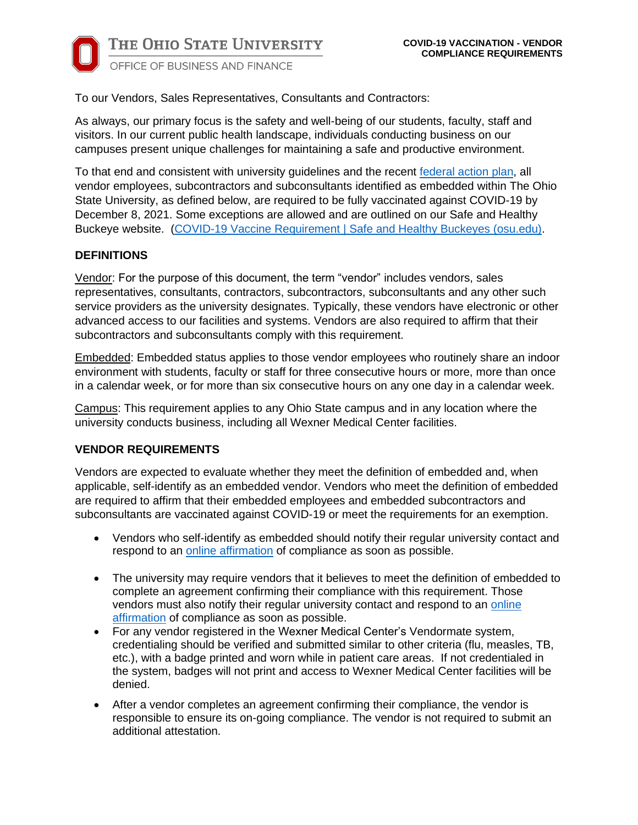

To our Vendors, Sales Representatives, Consultants and Contractors:

As always, our primary focus is the safety and well-being of our students, faculty, staff and visitors. In our current public health landscape, individuals conducting business on our campuses present unique challenges for maintaining a safe and productive environment.

To that end and consistent with university guidelines and the recent [federal action plan,](https://www.whitehouse.gov/covidplan/) all vendor employees, subcontractors and subconsultants identified as embedded within The Ohio State University, as defined below, are required to be fully vaccinated against COVID-19 by December 8, 2021. Some exceptions are allowed and are outlined on our Safe and Healthy Buckeye website. [\(COVID-19 Vaccine Requirement | Safe and Healthy Buckeyes \(osu.edu\).](https://safeandhealthy.osu.edu/covid-19-vaccine-requirement?utm_source=sfmc&utm_medium=email&utm_campaign=opres_faculty-staff-student-awareness_fy22_vaccine-message-08242021&sfmc_id=42964201)

## **DEFINITIONS**

Vendor: For the purpose of this document, the term "vendor" includes vendors, sales representatives, consultants, contractors, subcontractors, subconsultants and any other such service providers as the university designates. Typically, these vendors have electronic or other advanced access to our facilities and systems. Vendors are also required to affirm that their subcontractors and subconsultants comply with this requirement.

Embedded: Embedded status applies to those vendor employees who routinely share an indoor environment with students, faculty or staff for three consecutive hours or more, more than once in a calendar week, or for more than six consecutive hours on any one day in a calendar week.

Campus: This requirement applies to any Ohio State campus and in any location where the university conducts business, including all Wexner Medical Center facilities.

## **VENDOR REQUIREMENTS**

Vendors are expected to evaluate whether they meet the definition of embedded and, when applicable, self-identify as an embedded vendor. Vendors who meet the definition of embedded are required to affirm that their embedded employees and embedded subcontractors and subconsultants are vaccinated against COVID-19 or meet the requirements for an exemption.

- Vendors who self-identify as embedded should notify their regular university contact and respond to an [online affirmation](https://busfin.osu.edu/vendor-attestation-regarding-covid-19-vaccination-requirement) of compliance as soon as possible.
- The university may require vendors that it believes to meet the definition of embedded to complete an agreement confirming their compliance with this requirement. Those vendors must also notify their regular university contact and respond to an [online](https://busfin.osu.edu/vendor-attestation-regarding-covid-19-vaccination-requirement)  [affirmation](https://busfin.osu.edu/vendor-attestation-regarding-covid-19-vaccination-requirement) of compliance as soon as possible.
- For any vendor registered in the Wexner Medical Center's Vendormate system, credentialing should be verified and submitted similar to other criteria (flu, measles, TB, etc.), with a badge printed and worn while in patient care areas. If not credentialed in the system, badges will not print and access to Wexner Medical Center facilities will be denied.
- After a vendor completes an agreement confirming their compliance, the vendor is responsible to ensure its on-going compliance. The vendor is not required to submit an additional attestation.